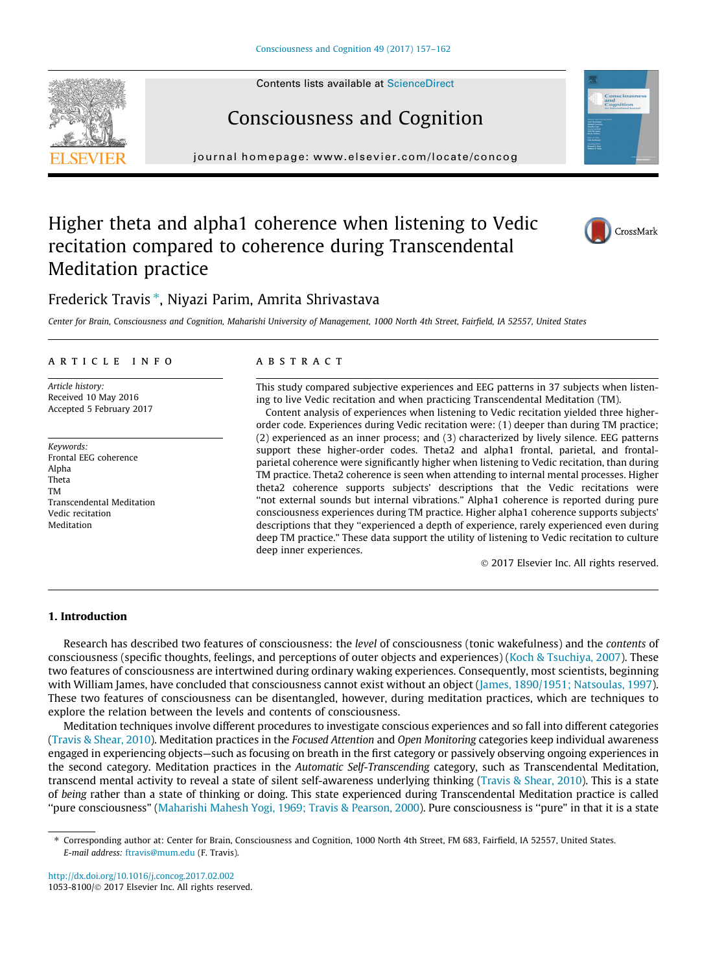# Consciousness and Cognition

journal homepage: [www.elsevier.com/locate/concog](http://www.elsevier.com/locate/concog)

# Higher theta and alpha1 coherence when listening to Vedic recitation compared to coherence during Transcendental Meditation practice

# Frederick Travis\*, Niyazi Parim, Amrita Shrivastava

Center for Brain, Consciousness and Cognition, Maharishi University of Management, 1000 North 4th Street, Fairfield, IA 52557, United States

#### article info

Article history: Received 10 May 2016 Accepted 5 February 2017

Keywords: Frontal EEG coherence Alpha Theta TM Transcendental Meditation Vedic recitation Meditation

#### **ABSTRACT**

This study compared subjective experiences and EEG patterns in 37 subjects when listening to live Vedic recitation and when practicing Transcendental Meditation (TM).

Content analysis of experiences when listening to Vedic recitation yielded three higherorder code. Experiences during Vedic recitation were: (1) deeper than during TM practice; (2) experienced as an inner process; and (3) characterized by lively silence. EEG patterns support these higher-order codes. Theta2 and alpha1 frontal, parietal, and frontalparietal coherence were significantly higher when listening to Vedic recitation, than during TM practice. Theta2 coherence is seen when attending to internal mental processes. Higher theta2 coherence supports subjects' descriptions that the Vedic recitations were "not external sounds but internal vibrations." Alpha1 coherence is reported during pure consciousness experiences during TM practice. Higher alpha1 coherence supports subjects' descriptions that they "experienced a depth of experience, rarely experienced even during deep TM practice." These data support the utility of listening to Vedic recitation to culture deep inner experiences.

2017 Elsevier Inc. All rights reserved.

### 1. Introduction

Research has described two features of consciousness: the level of consciousness (tonic wakefulness) and the contents of consciousness (specific thoughts, feelings, and perceptions of outer objects and experiences) [\(Koch & Tsuchiya, 2007](#page-5-0)). These two features of consciousness are intertwined during ordinary waking experiences. Consequently, most scientists, beginning with William James, have concluded that consciousness cannot exist without an object [\(James, 1890/1951; Natsoulas, 1997](#page-5-0)). These two features of consciousness can be disentangled, however, during meditation practices, which are techniques to explore the relation between the levels and contents of consciousness.

Meditation techniques involve different procedures to investigate conscious experiences and so fall into different categories ([Travis & Shear, 2010\)](#page-5-0). Meditation practices in the Focused Attention and Open Monitoring categories keep individual awareness engaged in experiencing objects—such as focusing on breath in the first category or passively observing ongoing experiences in the second category. Meditation practices in the Automatic Self-Transcending category, such as Transcendental Meditation, transcend mental activity to reveal a state of silent self-awareness underlying thinking [\(Travis & Shear, 2010](#page-5-0)). This is a state of being rather than a state of thinking or doing. This state experienced during Transcendental Meditation practice is called ''pure consciousness" ([Maharishi Mahesh Yogi, 1969; Travis & Pearson, 2000](#page-5-0)). Pure consciousness is ''pure" in that it is a state







<sup>⇑</sup> Corresponding author at: Center for Brain, Consciousness and Cognition, 1000 North 4th Street, FM 683, Fairfield, IA 52557, United States. E-mail address: [ftravis@mum.edu](mailto:ftravis@mum.edu) (F. Travis).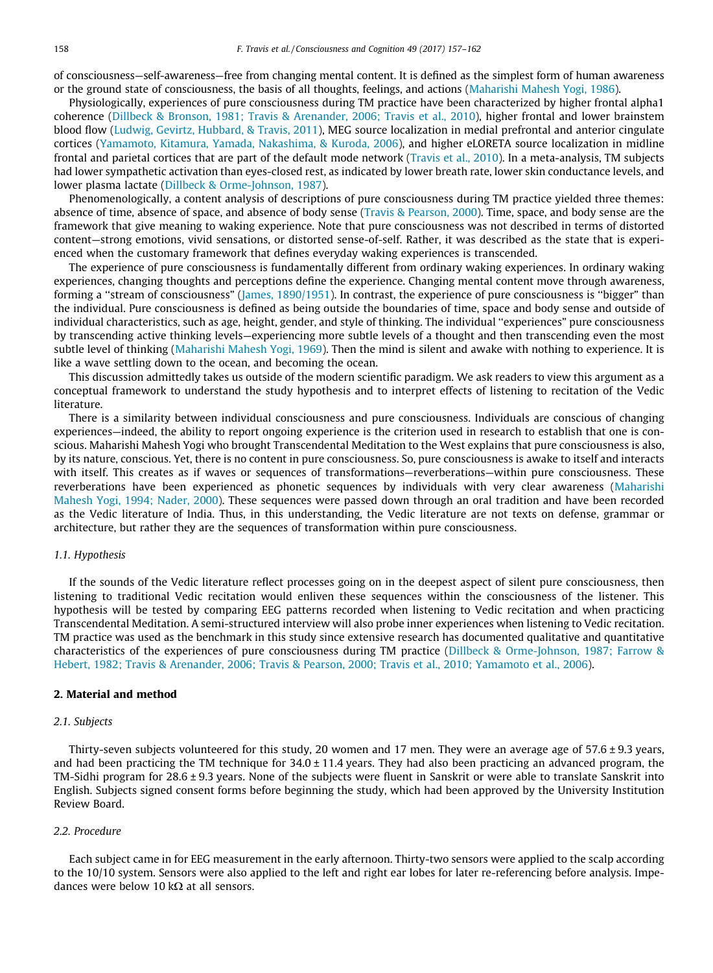of consciousness—self-awareness—free from changing mental content. It is defined as the simplest form of human awareness or the ground state of consciousness, the basis of all thoughts, feelings, and actions [\(Maharishi Mahesh Yogi, 1986\)](#page-5-0).

Physiologically, experiences of pure consciousness during TM practice have been characterized by higher frontal alpha1 coherence ([Dillbeck & Bronson, 1981; Travis & Arenander, 2006; Travis et al., 2010](#page-5-0)), higher frontal and lower brainstem blood flow [\(Ludwig, Gevirtz, Hubbard, & Travis, 2011](#page-5-0)), MEG source localization in medial prefrontal and anterior cingulate cortices [\(Yamamoto, Kitamura, Yamada, Nakashima, & Kuroda, 2006](#page-5-0)), and higher eLORETA source localization in midline frontal and parietal cortices that are part of the default mode network ([Travis et al., 2010\)](#page-5-0). In a meta-analysis, TM subjects had lower sympathetic activation than eyes-closed rest, as indicated by lower breath rate, lower skin conductance levels, and lower plasma lactate [\(Dillbeck & Orme-Johnson, 1987\)](#page-5-0).

Phenomenologically, a content analysis of descriptions of pure consciousness during TM practice yielded three themes: absence of time, absence of space, and absence of body sense [\(Travis & Pearson, 2000](#page-5-0)). Time, space, and body sense are the framework that give meaning to waking experience. Note that pure consciousness was not described in terms of distorted content—strong emotions, vivid sensations, or distorted sense-of-self. Rather, it was described as the state that is experienced when the customary framework that defines everyday waking experiences is transcended.

The experience of pure consciousness is fundamentally different from ordinary waking experiences. In ordinary waking experiences, changing thoughts and perceptions define the experience. Changing mental content move through awareness, forming a ''stream of consciousness" ([James, 1890/1951](#page-5-0)). In contrast, the experience of pure consciousness is ''bigger" than the individual. Pure consciousness is defined as being outside the boundaries of time, space and body sense and outside of individual characteristics, such as age, height, gender, and style of thinking. The individual ''experiences" pure consciousness by transcending active thinking levels—experiencing more subtle levels of a thought and then transcending even the most subtle level of thinking ([Maharishi Mahesh Yogi, 1969](#page-5-0)). Then the mind is silent and awake with nothing to experience. It is like a wave settling down to the ocean, and becoming the ocean.

This discussion admittedly takes us outside of the modern scientific paradigm. We ask readers to view this argument as a conceptual framework to understand the study hypothesis and to interpret effects of listening to recitation of the Vedic literature.

There is a similarity between individual consciousness and pure consciousness. Individuals are conscious of changing experiences—indeed, the ability to report ongoing experience is the criterion used in research to establish that one is conscious. Maharishi Mahesh Yogi who brought Transcendental Meditation to the West explains that pure consciousness is also, by its nature, conscious. Yet, there is no content in pure consciousness. So, pure consciousness is awake to itself and interacts with itself. This creates as if waves or sequences of transformations—reverberations—within pure consciousness. These reverberations have been experienced as phonetic sequences by individuals with very clear awareness [\(Maharishi](#page-5-0) [Mahesh Yogi, 1994; Nader, 2000\)](#page-5-0). These sequences were passed down through an oral tradition and have been recorded as the Vedic literature of India. Thus, in this understanding, the Vedic literature are not texts on defense, grammar or architecture, but rather they are the sequences of transformation within pure consciousness.

# 1.1. Hypothesis

If the sounds of the Vedic literature reflect processes going on in the deepest aspect of silent pure consciousness, then listening to traditional Vedic recitation would enliven these sequences within the consciousness of the listener. This hypothesis will be tested by comparing EEG patterns recorded when listening to Vedic recitation and when practicing Transcendental Meditation. A semi-structured interview will also probe inner experiences when listening to Vedic recitation. TM practice was used as the benchmark in this study since extensive research has documented qualitative and quantitative characteristics of the experiences of pure consciousness during TM practice ([Dillbeck & Orme-Johnson, 1987; Farrow &](#page-5-0) [Hebert, 1982; Travis & Arenander, 2006; Travis & Pearson, 2000; Travis et al., 2010; Yamamoto et al., 2006](#page-5-0)).

## 2. Material and method

#### 2.1. Subjects

Thirty-seven subjects volunteered for this study, 20 women and 17 men. They were an average age of 57.6 ± 9.3 years, and had been practicing the TM technique for  $34.0 \pm 11.4$  years. They had also been practicing an advanced program, the TM-Sidhi program for 28.6 ± 9.3 years. None of the subjects were fluent in Sanskrit or were able to translate Sanskrit into English. Subjects signed consent forms before beginning the study, which had been approved by the University Institution Review Board.

# 2.2. Procedure

Each subject came in for EEG measurement in the early afternoon. Thirty-two sensors were applied to the scalp according to the 10/10 system. Sensors were also applied to the left and right ear lobes for later re-referencing before analysis. Impedances were below 10 k $\Omega$  at all sensors.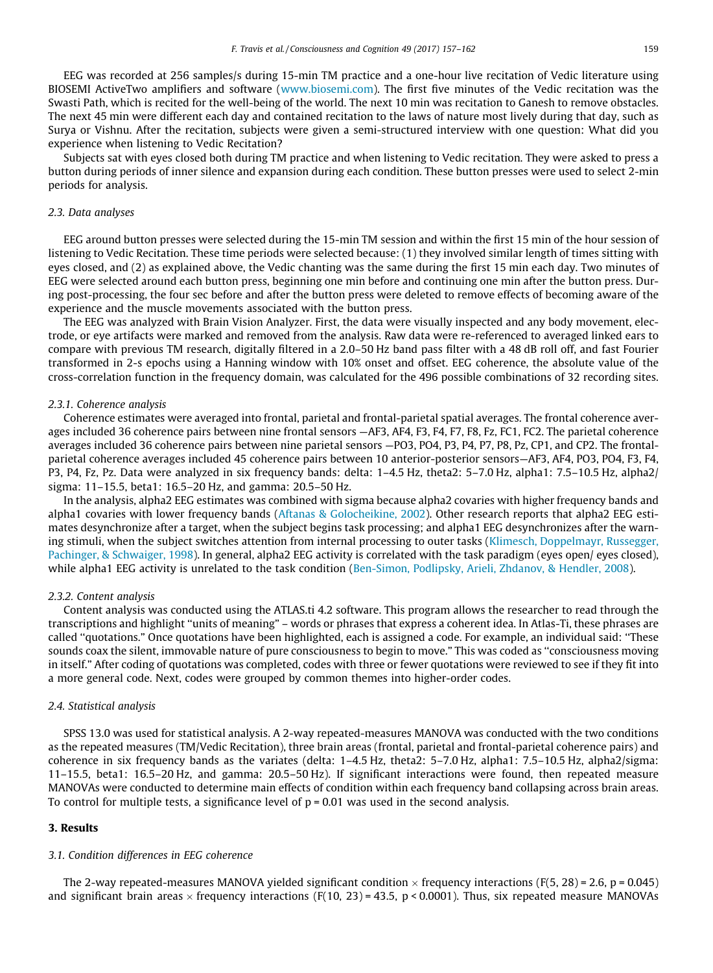EEG was recorded at 256 samples/s during 15-min TM practice and a one-hour live recitation of Vedic literature using BIOSEMI ActiveTwo amplifiers and software ([www.biosemi.com](http://www.biosemi.com)). The first five minutes of the Vedic recitation was the Swasti Path, which is recited for the well-being of the world. The next 10 min was recitation to Ganesh to remove obstacles. The next 45 min were different each day and contained recitation to the laws of nature most lively during that day, such as Surya or Vishnu. After the recitation, subjects were given a semi-structured interview with one question: What did you experience when listening to Vedic Recitation?

Subjects sat with eyes closed both during TM practice and when listening to Vedic recitation. They were asked to press a button during periods of inner silence and expansion during each condition. These button presses were used to select 2-min periods for analysis.

#### 2.3. Data analyses

EEG around button presses were selected during the 15-min TM session and within the first 15 min of the hour session of listening to Vedic Recitation. These time periods were selected because: (1) they involved similar length of times sitting with eyes closed, and (2) as explained above, the Vedic chanting was the same during the first 15 min each day. Two minutes of EEG were selected around each button press, beginning one min before and continuing one min after the button press. During post-processing, the four sec before and after the button press were deleted to remove effects of becoming aware of the experience and the muscle movements associated with the button press.

The EEG was analyzed with Brain Vision Analyzer. First, the data were visually inspected and any body movement, electrode, or eye artifacts were marked and removed from the analysis. Raw data were re-referenced to averaged linked ears to compare with previous TM research, digitally filtered in a 2.0–50 Hz band pass filter with a 48 dB roll off, and fast Fourier transformed in 2-s epochs using a Hanning window with 10% onset and offset. EEG coherence, the absolute value of the cross-correlation function in the frequency domain, was calculated for the 496 possible combinations of 32 recording sites.

#### 2.3.1. Coherence analysis

Coherence estimates were averaged into frontal, parietal and frontal-parietal spatial averages. The frontal coherence averages included 36 coherence pairs between nine frontal sensors —AF3, AF4, F3, F4, F7, F8, Fz, FC1, FC2. The parietal coherence averages included 36 coherence pairs between nine parietal sensors —PO3, PO4, P3, P4, P7, P8, Pz, CP1, and CP2. The frontalparietal coherence averages included 45 coherence pairs between 10 anterior-posterior sensors—AF3, AF4, PO3, PO4, F3, F4, P3, P4, Fz, Pz. Data were analyzed in six frequency bands: delta: 1–4.5 Hz, theta2: 5–7.0 Hz, alpha1: 7.5–10.5 Hz, alpha2/ sigma: 11–15.5, beta1: 16.5–20 Hz, and gamma: 20.5–50 Hz.

In the analysis, alpha2 EEG estimates was combined with sigma because alpha2 covaries with higher frequency bands and alpha1 covaries with lower frequency bands ([Aftanas & Golocheikine, 2002](#page-5-0)). Other research reports that alpha2 EEG estimates desynchronize after a target, when the subject begins task processing; and alpha1 EEG desynchronizes after the warning stimuli, when the subject switches attention from internal processing to outer tasks ([Klimesch, Doppelmayr, Russegger,](#page-5-0) [Pachinger, & Schwaiger, 1998\)](#page-5-0). In general, alpha2 EEG activity is correlated with the task paradigm (eyes open/ eyes closed), while alpha1 EEG activity is unrelated to the task condition ([Ben-Simon, Podlipsky, Arieli, Zhdanov, & Hendler, 2008\)](#page-5-0).

#### 2.3.2. Content analysis

Content analysis was conducted using the ATLAS.ti 4.2 software. This program allows the researcher to read through the transcriptions and highlight ''units of meaning" – words or phrases that express a coherent idea. In Atlas-Ti, these phrases are called ''quotations." Once quotations have been highlighted, each is assigned a code. For example, an individual said: ''These sounds coax the silent, immovable nature of pure consciousness to begin to move." This was coded as ''consciousness moving in itself." After coding of quotations was completed, codes with three or fewer quotations were reviewed to see if they fit into a more general code. Next, codes were grouped by common themes into higher-order codes.

#### 2.4. Statistical analysis

SPSS 13.0 was used for statistical analysis. A 2-way repeated-measures MANOVA was conducted with the two conditions as the repeated measures (TM/Vedic Recitation), three brain areas (frontal, parietal and frontal-parietal coherence pairs) and coherence in six frequency bands as the variates (delta: 1–4.5 Hz, theta2: 5–7.0 Hz, alpha1: 7.5–10.5 Hz, alpha2/sigma: 11–15.5, beta1: 16.5–20 Hz, and gamma: 20.5–50 Hz). If significant interactions were found, then repeated measure MANOVAs were conducted to determine main effects of condition within each frequency band collapsing across brain areas. To control for multiple tests, a significance level of  $p = 0.01$  was used in the second analysis.

#### 3. Results

#### 3.1. Condition differences in EEG coherence

The 2-way repeated-measures MANOVA yielded significant condition  $\times$  frequency interactions (F(5, 28) = 2.6, p = 0.045) and significant brain areas  $\times$  frequency interactions (F(10, 23) = 43.5, p < 0.0001). Thus, six repeated measure MANOVAs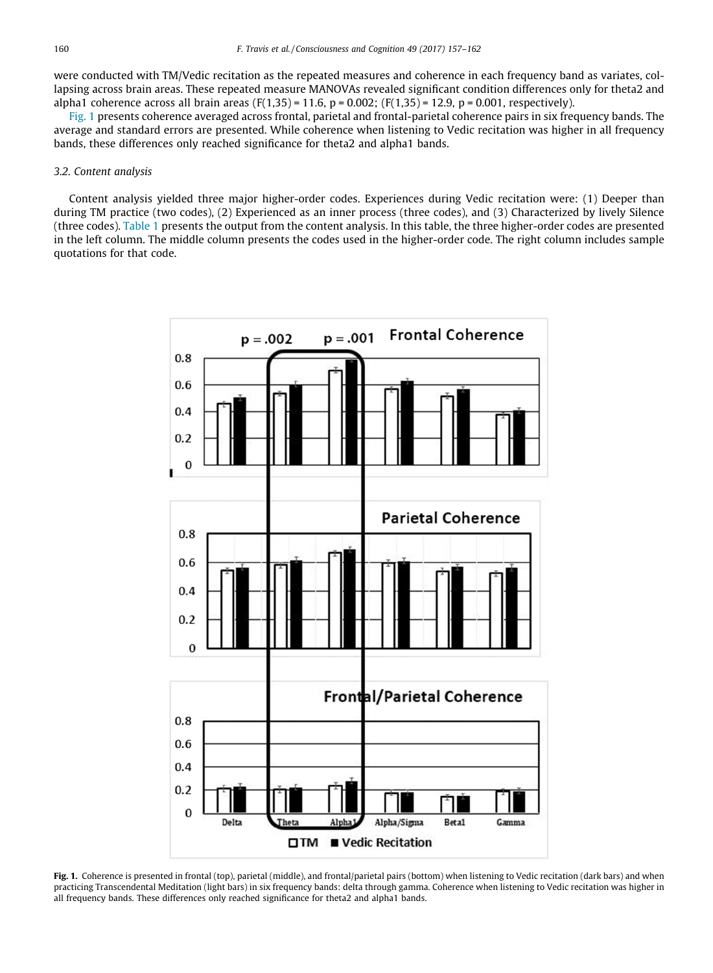were conducted with TM/Vedic recitation as the repeated measures and coherence in each frequency band as variates, collapsing across brain areas. These repeated measure MANOVAs revealed significant condition differences only for theta2 and alpha1 coherence across all brain areas (F(1,35) = 11.6, p = 0.002; (F(1,35) = 12.9, p = 0.001, respectively).

Fig. 1 presents coherence averaged across frontal, parietal and frontal-parietal coherence pairs in six frequency bands. The average and standard errors are presented. While coherence when listening to Vedic recitation was higher in all frequency bands, these differences only reached significance for theta2 and alpha1 bands.

#### 3.2. Content analysis

Content analysis yielded three major higher-order codes. Experiences during Vedic recitation were: (1) Deeper than during TM practice (two codes), (2) Experienced as an inner process (three codes), and (3) Characterized by lively Silence (three codes). [Table 1](#page-4-0) presents the output from the content analysis. In this table, the three higher-order codes are presented in the left column. The middle column presents the codes used in the higher-order code. The right column includes sample quotations for that code.



Fig. 1. Coherence is presented in frontal (top), parietal (middle), and frontal/parietal pairs (bottom) when listening to Vedic recitation (dark bars) and when practicing Transcendental Meditation (light bars) in six frequency bands: delta through gamma. Coherence when listening to Vedic recitation was higher in all frequency bands. These differences only reached significance for theta2 and alpha1 bands.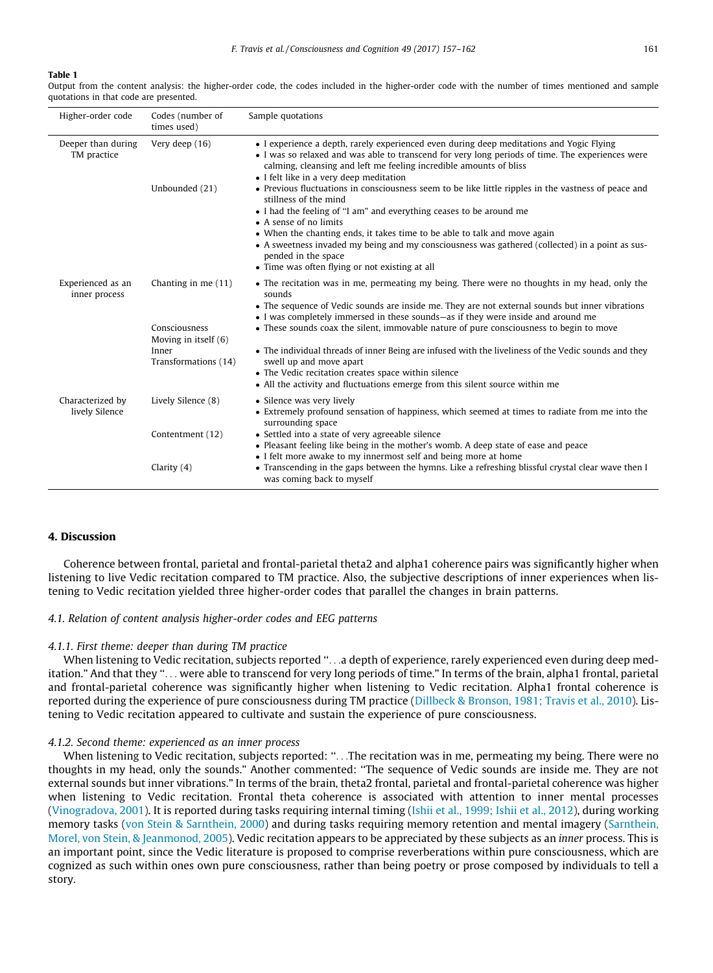#### <span id="page-4-0"></span>Table 1

Output from the content analysis: the higher-order code, the codes included in the higher-order code with the number of times mentioned and sample quotations in that code are presented.

| Higher-order code                  | Codes (number of<br>times used)                       | Sample quotations                                                                                                                                                                                                                                                                                             |
|------------------------------------|-------------------------------------------------------|---------------------------------------------------------------------------------------------------------------------------------------------------------------------------------------------------------------------------------------------------------------------------------------------------------------|
| Deeper than during<br>TM practice  | Very deep (16)                                        | • I experience a depth, rarely experienced even during deep meditations and Yogic Flying<br>• I was so relaxed and was able to transcend for very long periods of time. The experiences were<br>calming, cleansing and left me feeling incredible amounts of bliss<br>• I felt like in a very deep meditation |
|                                    | Unbounded (21)                                        | • Previous fluctuations in consciousness seem to be like little ripples in the vastness of peace and<br>stillness of the mind<br>• I had the feeling of "I am" and everything ceases to be around me<br>• A sense of no limits                                                                                |
|                                    |                                                       | • When the chanting ends, it takes time to be able to talk and move again<br>• A sweetness invaded my being and my consciousness was gathered (collected) in a point as sus-<br>pended in the space<br>• Time was often flying or not existing at all                                                         |
| Experienced as an<br>inner process | Chanting in me (11)                                   | • The recitation was in me, permeating my being. There were no thoughts in my head, only the<br>sounds                                                                                                                                                                                                        |
|                                    | Consciousness                                         | • The sequence of Vedic sounds are inside me. They are not external sounds but inner vibrations<br>• I was completely immersed in these sounds—as if they were inside and around me<br>• These sounds coax the silent, immovable nature of pure consciousness to begin to move                                |
|                                    | Moving in itself (6)<br>Inner<br>Transformations (14) | • The individual threads of inner Being are infused with the liveliness of the Vedic sounds and they<br>swell up and move apart<br>• The Vedic recitation creates space within silence<br>• All the activity and fluctuations emerge from this silent source within me                                        |
| Characterized by<br>lively Silence | Lively Silence (8)                                    | • Silence was very lively<br>• Extremely profound sensation of happiness, which seemed at times to radiate from me into the<br>surrounding space                                                                                                                                                              |
|                                    | Contentment (12)                                      | • Settled into a state of very agreeable silence<br>• Pleasant feeling like being in the mother's womb. A deep state of ease and peace                                                                                                                                                                        |
|                                    | Clarity $(4)$                                         | • I felt more awake to my innermost self and being more at home<br>• Transcending in the gaps between the hymns. Like a refreshing blissful crystal clear wave then I<br>was coming back to myself                                                                                                            |

### 4. Discussion

Coherence between frontal, parietal and frontal-parietal theta2 and alpha1 coherence pairs was significantly higher when listening to live Vedic recitation compared to TM practice. Also, the subjective descriptions of inner experiences when listening to Vedic recitation yielded three higher-order codes that parallel the changes in brain patterns.

#### 4.1. Relation of content analysis higher-order codes and EEG patterns

#### 4.1.1. First theme: deeper than during TM practice

When listening to Vedic recitation, subjects reported "...a depth of experience, rarely experienced even during deep meditation." And that they ''... were able to transcend for very long periods of time." In terms of the brain, alpha1 frontal, parietal and frontal-parietal coherence was significantly higher when listening to Vedic recitation. Alpha1 frontal coherence is reported during the experience of pure consciousness during TM practice ([Dillbeck & Bronson, 1981; Travis et al., 2010\)](#page-5-0). Listening to Vedic recitation appeared to cultivate and sustain the experience of pure consciousness.

#### 4.1.2. Second theme: experienced as an inner process

When listening to Vedic recitation, subjects reported: ''...The recitation was in me, permeating my being. There were no thoughts in my head, only the sounds." Another commented: ''The sequence of Vedic sounds are inside me. They are not external sounds but inner vibrations." In terms of the brain, theta2 frontal, parietal and frontal-parietal coherence was higher when listening to Vedic recitation. Frontal theta coherence is associated with attention to inner mental processes ([Vinogradova, 2001](#page-5-0)). It is reported during tasks requiring internal timing ([Ishii et al., 1999; Ishii et al., 2012\)](#page-5-0), during working memory tasks [\(von Stein & Sarnthein, 2000\)](#page-5-0) and during tasks requiring memory retention and mental imagery ([Sarnthein,](#page-5-0) [Morel, von Stein, & Jeanmonod, 2005](#page-5-0)). Vedic recitation appears to be appreciated by these subjects as an inner process. This is an important point, since the Vedic literature is proposed to comprise reverberations within pure consciousness, which are cognized as such within ones own pure consciousness, rather than being poetry or prose composed by individuals to tell a story.